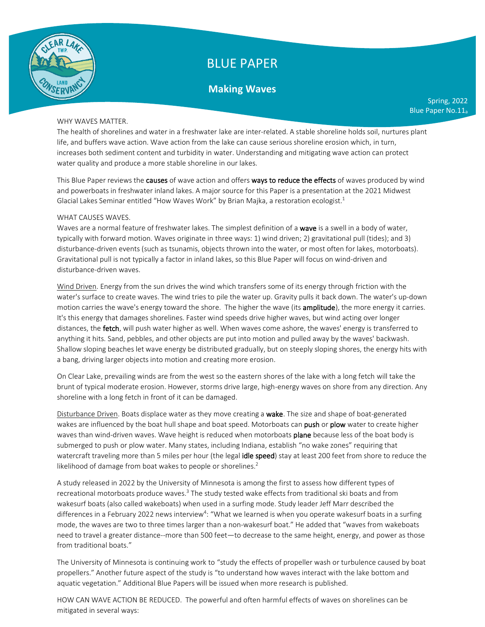

# BLUE PAPER

## **Making Waves**

### WHY WAVES MATTER.

The health of shorelines and water in a freshwater lake are inter-related. A stable shoreline holds soil, nurtures plant life, and buffers wave action. Wave action from the lake can cause serious shoreline erosion which, in turn, increases both sediment content and turbidity in water. Understanding and mitigating wave action can protect water quality and produce a more stable shoreline in our lakes.

This Blue Paper reviews the causes of wave action and offers ways to reduce the effects of waves produced by wind and powerboats in freshwater inland lakes. A major source for this Paper is a presentation at the 2021 Midwest Glacial Lakes Seminar entitled "How Waves Work" by Brian Majka, a restoration ecologist.<sup>1</sup>

#### WHAT CAUSES WAVES.

Waves are a normal feature of freshwater lakes. The simplest definition of a wave is a swell in a body of water, typically with forward motion. Waves originate in three ways: 1) wind driven; 2) gravitational pull (tides); and 3) disturbance-driven events (such as tsunamis, objects thrown into the water, or most often for lakes, motorboats). Gravitational pull is not typically a factor in inland lakes, so this Blue Paper will focus on wind-driven and disturbance-driven waves.

Wind Driven. Energy from the sun drives the wind which transfers some of its energy through friction with the water's surface to create waves. The wind tries to pile the water up. Gravity pulls it back down. The water's up-down motion carries the wave's energy toward the shore. The higher the wave (its **amplitude**), the more energy it carries. It's this energy that damages shorelines. Faster wind speeds drive higher waves, but wind acting over longer distances, the **fetch**, will push water higher as well. When waves come ashore, the waves' energy is transferred to anything it hits. Sand, pebbles, and other objects are put into motion and pulled away by the waves' backwash. Shallow sloping beaches let wave energy be distributed gradually, but on steeply sloping shores, the energy hits with a bang, driving larger objects into motion and creating more erosion.

On Clear Lake, prevailing winds are from the west so the eastern shores of the lake with a long fetch will take the brunt of typical moderate erosion. However, storms drive large, high-energy waves on shore from any direction. Any shoreline with a long fetch in front of it can be damaged.

Disturbance Driven. Boats displace water as they move creating a wake. The size and shape of boat-generated wakes are influenced by the boat hull shape and boat speed. Motorboats can push or plow water to create higher waves than wind-driven waves. Wave height is reduced when motorboats plane because less of the boat body is submerged to push or plow water. Many states, including Indiana, establish "no wake zones" requiring that watercraft traveling more than 5 miles per hour (the legal idle speed) stay at least 200 feet from shore to reduce the likelihood of damage from boat wakes to people or shorelines.<sup>2</sup>

A study released in 2022 by the University of Minnesota is among the first to assess how different types of recreational motorboats produce waves.<sup>3</sup> The study tested wake effects from traditional ski boats and from wakesurf boats (also called wakeboats) when used in a surfing mode. Study leader Jeff Marr described the differences in a February 2022 news interview<sup>4</sup>: "What we learned is when you operate wakesurf boats in a surfing mode, the waves are two to three times larger than a non-wakesurf boat." He added that "waves from wakeboats need to travel a greater distance--more than 500 feet—to decrease to the same height, energy, and power as those from traditional boats."

The University of Minnesota is continuing work to "study the effects of propeller wash or turbulence caused by boat propellers." Another future aspect of the study is "to understand how waves interact with the lake bottom and aquatic vegetation." Additional Blue Papers will be issued when more research is published.

HOW CAN WAVE ACTION BE REDUCED. The powerful and often harmful effects of waves on shorelines can be mitigated in several ways:

Spring, 2022 Blue Paper No.11a